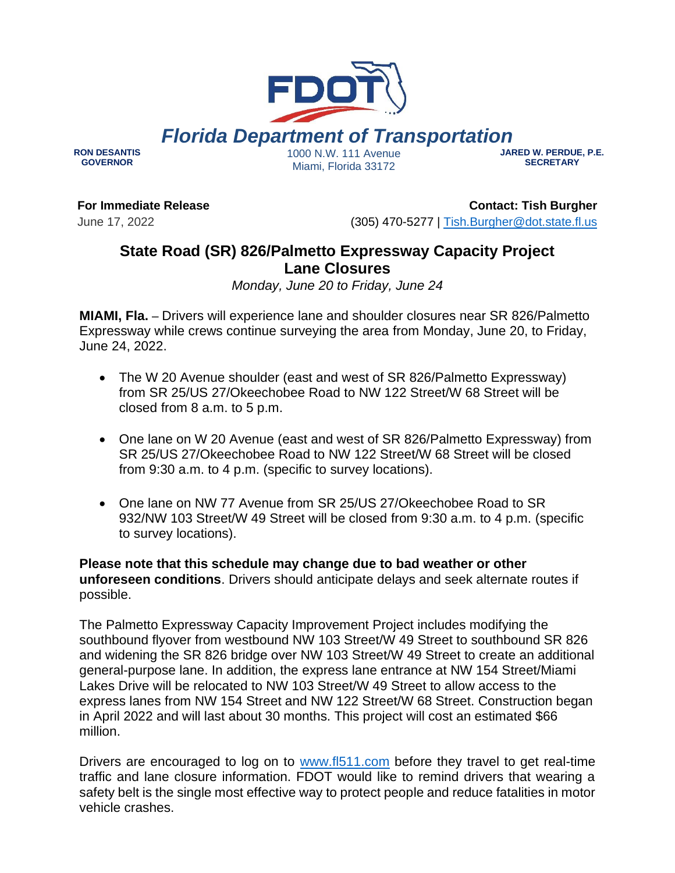# *Florida Department of Transportation*

**RON DESANTIS GOVERNOR**

1000 N.W. 111 Avenue Miami, Florida 33172

#### **JARED W. PERDUE, P.E. SECRETARY**

**For Immediate Release**

June 17, 2022

**Contact: Tish Burgher** (305) 470-5277 | [Tish.Burgher@dot.state.fl.us](mailto:Tish.Burgher@dot.state.fl.us)

## **State Road (SR) 826/Palmetto Expressway Capacity Project Lane Closures**

*Monday, June 20 to Friday, June 24*

**MIAMI, Fla.** – Drivers will experience lane and shoulder closures near SR 826/Palmetto Expressway while crews continue surveying the area from Monday, June 20, to Friday, June 24, 2022.

- The W 20 Avenue shoulder (east and west of SR 826/Palmetto Expressway) from SR 25/US 27/Okeechobee Road to NW 122 Street/W 68 Street will be closed from 8 a.m. to 5 p.m.
- One lane on W 20 Avenue (east and west of SR 826/Palmetto Expressway) from SR 25/US 27/Okeechobee Road to NW 122 Street/W 68 Street will be closed from 9:30 a.m. to 4 p.m. (specific to survey locations).
- One lane on NW 77 Avenue from SR 25/US 27/Okeechobee Road to SR 932/NW 103 Street/W 49 Street will be closed from 9:30 a.m. to 4 p.m. (specific to survey locations).

**Please note that this schedule may change due to bad weather or other unforeseen conditions**. Drivers should anticipate delays and seek alternate routes if possible.

The Palmetto Expressway Capacity Improvement Project includes modifying the southbound flyover from westbound NW 103 Street/W 49 Street to southbound SR 826 and widening the SR 826 bridge over NW 103 Street/W 49 Street to create an additional general-purpose lane. In addition, the express lane entrance at NW 154 Street/Miami Lakes Drive will be relocated to NW 103 Street/W 49 Street to allow access to the express lanes from NW 154 Street and NW 122 Street/W 68 Street. Construction began in April 2022 and will last about 30 months. This project will cost an estimated \$66 million.

Drivers are encouraged to log on to [www.fl511.com](http://www.fl511.com/) before they travel to get real-time traffic and lane closure information. FDOT would like to remind drivers that wearing a safety belt is the single most effective way to protect people and reduce fatalities in motor vehicle crashes.